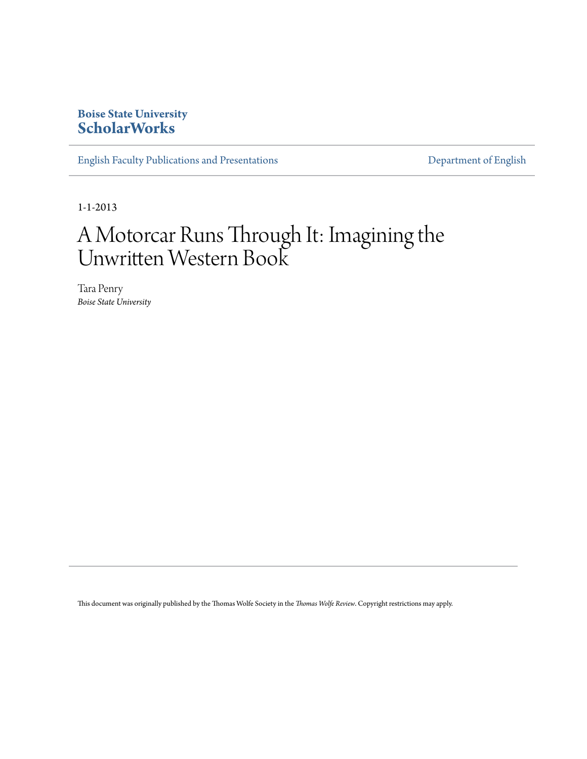### **Boise State University [ScholarWorks](https://scholarworks.boisestate.edu)**

[English Faculty Publications and Presentations](https://scholarworks.boisestate.edu/english_facpubs) **[Department of English](https://scholarworks.boisestate.edu/english)** 

1-1-2013

# A Motorcar Runs Through It: Imagining the Unwritten Western Book

Tara Penry *Boise State University*

This document was originally published by the Thomas Wolfe Society in the *Thomas Wolfe Review*. Copyright restrictions may apply.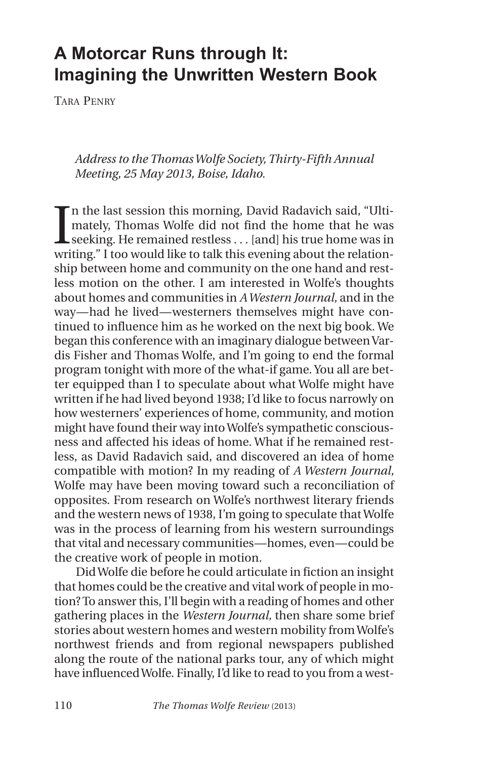## **A Motorcar Runs through It: Imagining the Unwritten Western Book**

TARA PENRY

*Addressto the ThomasWolfe Society,Thirty-Fifth Annual Meeting, 25 May 2013, Boise, Idaho.*

I n the last session this morning, David Radavich said, "Ultimately, Thomas Wolfe did not find the home that he was seeking. He remained restless . . . [and] his true home was in writing." I too would like to talk this evening about the relationship between home and community on the one hand and restless motion on the other. I am interested in Wolfe's thoughts about homes and communities in *AWestern Journal,* and in the way—had he lived—westerners themselves might have continued to influence him as he worked on the next big book. We began this conference with an imaginary dialogue between Vardis Fisher and Thomas Wolfe, and I'm going to end the formal program tonight with more of the what-if game. You all are better equipped than I to speculate about what Wolfe might have written if he had lived beyond 1938; I'd like to focus narrowly on how westerners' experiences of home, community, and motion might have found their way intoWolfe's sympathetic consciousness and affected his ideas of home. What if he remained restless, as David Radavich said, and discovered an idea of home compatible with motion? In my reading of *A Western Journal,* Wolfe may have been moving toward such a reconciliation of opposites. From research on Wolfe's northwest literary friends and the western news of 1938, I'm going to speculate thatWolfe was in the process of learning from his western surroundings that vital and necessary communities—homes, even—could be the creative work of people in motion.

DidWolfe die before he could articulate in fiction an insight that homes could be the creative and vital work of people in motion?To answerthis, I'll begin with a reading of homes and other gathering places in the *Western Journal,* then share some brief stories about western homes and western mobility fromWolfe's northwest friends and from regional newspapers published along the route of the national parks tour, any of which might have influencedWolfe. Finally, I'd like to read to you from a west-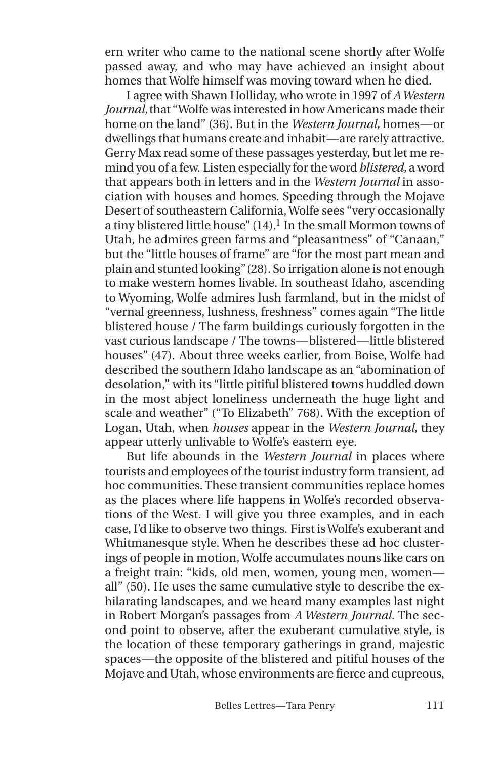ern writer who came to the national scene shortly after Wolfe passed away, and who may have achieved an insight about homes that Wolfe himself was moving toward when he died.

I agree with Shawn Holliday, who wrote in 1997 of *AWestern Journal,*that "Wolfe was interested in how Americans made their home on the land" (36). But in the *Western Journal,* homes—or dwellings that humans create and inhabit—are rarely attractive. Gerry Max read some of these passages yesterday, but let me remind you of a few. Listen especially forthe word*blistered,* a word that appears both in letters and in the *Western Journal* in association with houses and homes. Speeding through the Mojave Desert of southeastern California,Wolfe sees "very occasionally a tiny blistered little house" (14).<sup>1</sup> In the small Mormon towns of Utah, he admires green farms and "pleasantness" of "Canaan," but the "little houses of frame" are "for the most part mean and plain and stunted looking"(28). So irrigation alone is not enough to make western homes livable. In southeast Idaho, ascending to Wyoming, Wolfe admires lush farmland, but in the midst of "vernal greenness, lushness, freshness" comes again "The little blistered house / The farm buildings curiously forgotten in the vast curious landscape / The towns—blistered—little blistered houses" (47). About three weeks earlier, from Boise, Wolfe had described the southern Idaho landscape as an "abomination of desolation," with its "little pitiful blistered towns huddled down in the most abject loneliness underneath the huge light and scale and weather" ("To Elizabeth" 768). With the exception of Logan, Utah, when *houses* appear in the *Western Journal,* they appear utterly unlivable to Wolfe's eastern eye.

But life abounds in the *Western Journal* in places where tourists and employees of the tourist industry form transient, ad hoc communities. These transient communities replace homes as the places where life happens in Wolfe's recorded observations of the West. I will give you three examples, and in each case, I'd like to observe two things. First isWolfe's exuberant and Whitmanesque style. When he describes these ad hoc clusterings of people in motion,Wolfe accumulates nouns like cars on a freight train: "kids, old men, women, young men, women all" (50). He uses the same cumulative style to describe the exhilarating landscapes, and we heard many examples last night in Robert Morgan's passages from *A Western Journal.* The second point to observe, after the exuberant cumulative style, is the location of these temporary gatherings in grand, majestic spaces—the opposite of the blistered and pitiful houses of the Mojave and Utah, whose environments are fierce and cupreous,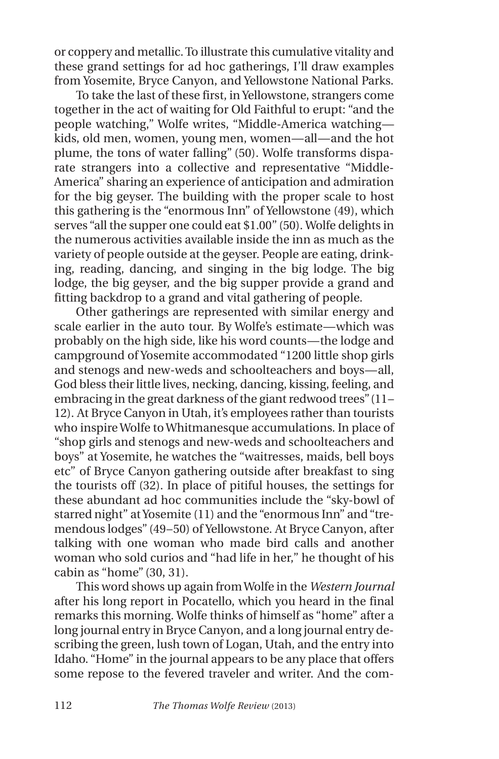or coppery and metallic.To illustrate this cumulative vitality and these grand settings for ad hoc gatherings, I'll draw examples from Yosemite, Bryce Canyon, and Yellowstone National Parks.

To take the last of these first, in Yellowstone, strangers come together in the act of waiting for Old Faithful to erupt: "and the people watching," Wolfe writes, "Middle-America watching kids, old men, women, young men, women—all—and the hot plume, the tons of water falling" (50). Wolfe transforms disparate strangers into a collective and representative "Middle-America" sharing an experience of anticipation and admiration for the big geyser. The building with the proper scale to host this gathering is the "enormous Inn" of Yellowstone (49), which serves "all the supper one could eat \$1.00" (50). Wolfe delights in the numerous activities available inside the inn as much as the variety of people outside at the geyser. People are eating, drinking, reading, dancing, and singing in the big lodge. The big lodge, the big geyser, and the big supper provide a grand and fitting backdrop to a grand and vital gathering of people.

Other gatherings are represented with similar energy and scale earlier in the auto tour. By Wolfe's estimate—which was probably on the high side, like his word counts—the lodge and campground of Yosemite accommodated "1200 little shop girls and stenogs and new-weds and schoolteachers and boys—all, God bless their little lives, necking, dancing, kissing, feeling, and embracing in the great darkness of the giant redwood trees"  $(11-$ 12). At Bryce Canyon in Utah, it's employees rather than tourists who inspireWolfe toWhitmanesque accumulations. In place of "shop girls and stenogs and new-weds and schoolteachers and boys" at Yosemite, he watches the "waitresses, maids, bell boys etc" of Bryce Canyon gathering outside after breakfast to sing the tourists off (32). In place of pitiful houses, the settings for these abundant ad hoc communities include the "sky-bowl of starred night" at Yosemite (11) and the "enormous Inn" and "tremendous lodges" (49–50) of Yellowstone. At Bryce Canyon, after talking with one woman who made bird calls and another woman who sold curios and "had life in her," he thought of his cabin as "home" (30, 31).

This word shows up again fromWolfe in the *Western Journal* after his long report in Pocatello, which you heard in the final remarks this morning. Wolfe thinks of himself as "home" after a long journal entry in Bryce Canyon, and a long journal entry describing the green, lush town of Logan, Utah, and the entry into Idaho. "Home" in the journal appears to be any place that offers some repose to the fevered traveler and writer. And the com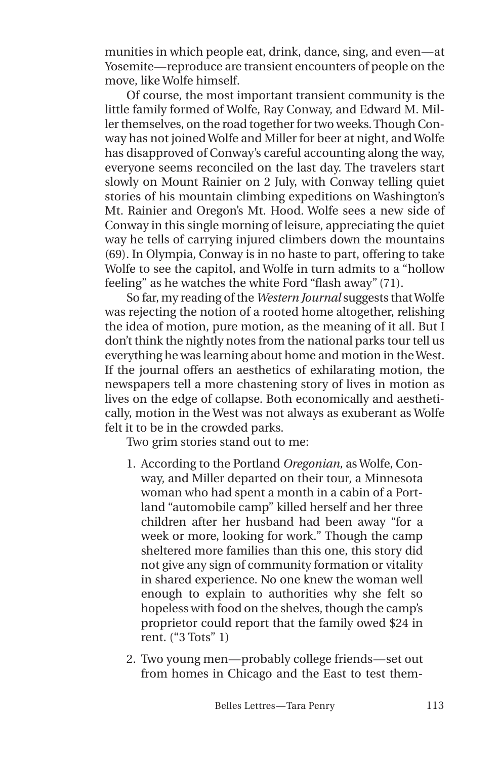munities in which people eat, drink, dance, sing, and even—at Yosemite—reproduce are transient encounters of people on the move, like Wolfe himself.

Of course, the most important transient community is the little family formed of Wolfe, Ray Conway, and Edward M. Miller themselves, on the road together for two weeks. Though Conway has not joinedWolfe and Miller for beer at night, andWolfe has disapproved of Conway's careful accounting along the way, everyone seems reconciled on the last day. The travelers start slowly on Mount Rainier on 2 July, with Conway telling quiet stories of his mountain climbing expeditions on Washington's Mt. Rainier and Oregon's Mt. Hood. Wolfe sees a new side of Conway in this single morning of leisure, appreciating the quiet way he tells of carrying injured climbers down the mountains (69). In Olympia, Conway is in no haste to part, offering to take Wolfe to see the capitol, and Wolfe in turn admits to a "hollow feeling" as he watches the white Ford "flash away" (71).

So far, my reading of the *Western Journal* suggests thatWolfe was rejecting the notion of a rooted home altogether, relishing the idea of motion, pure motion, as the meaning of it all. But I don't think the nightly notes from the national parks tour tell us everything he was learning about home and motion in theWest. If the journal offers an aesthetics of exhilarating motion, the newspapers tell a more chastening story of lives in motion as lives on the edge of collapse. Both economically and aesthetically, motion in the West was not always as exuberant as Wolfe felt it to be in the crowded parks.

Two grim stories stand out to me:

- 1. According to the Portland *Oregonian,* as Wolfe, Conway, and Miller departed on their tour, a Minnesota woman who had spent a month in a cabin of a Portland "automobile camp" killed herself and her three children after her husband had been away "for a week or more, looking for work." Though the camp sheltered more families than this one, this story did not give any sign of community formation or vitality in shared experience. No one knew the woman well enough to explain to authorities why she felt so hopeless with food on the shelves, though the camp's proprietor could report that the family owed \$24 in rent. ("3 Tots" 1)
- 2. Two young men—probably college friends—set out from homes in Chicago and the East to test them-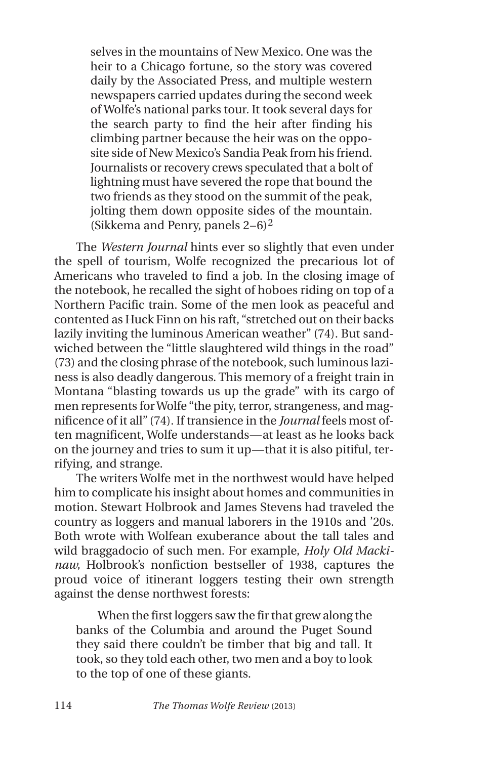selves in the mountains of New Mexico. One was the heir to a Chicago fortune, so the story was covered daily by the Associated Press, and multiple western newspapers carried updates during the second week of Wolfe's national parks tour. It took several days for the search party to find the heir after finding his climbing partner because the heir was on the opposite side of New Mexico's Sandia Peak from his friend. Journalists or recovery crews speculated that a bolt of lightning must have severed the rope that bound the two friends as they stood on the summit of the peak, jolting them down opposite sides of the mountain. (Sikkema and Penry, panels 2–6)<sup>2</sup>

The *Western Journal* hints ever so slightly that even under the spell of tourism, Wolfe recognized the precarious lot of Americans who traveled to find a job. In the closing image of the notebook, he recalled the sight of hoboes riding on top of a Northern Pacific train. Some of the men look as peaceful and contented as Huck Finn on his raft, "stretched out on their backs lazily inviting the luminous American weather" (74). But sandwiched between the "little slaughtered wild things in the road" (73) and the closing phrase of the notebook, such luminous laziness is also deadly dangerous. This memory of a freight train in Montana "blasting towards us up the grade" with its cargo of men represents forWolfe "the pity, terror, strangeness, and magnificence of it all" (74). If transience in the *Journal* feels most often magnificent, Wolfe understands—at least as he looks back on the journey and tries to sum it up—that it is also pitiful, terrifying, and strange.

The writers Wolfe met in the northwest would have helped him to complicate his insight about homes and communities in motion. Stewart Holbrook and James Stevens had traveled the country as loggers and manual laborers in the 1910s and '20s. Both wrote with Wolfean exuberance about the tall tales and wild braggadocio of such men. For example, *Holy Old Mackinaw,* Holbrook's nonfiction bestseller of 1938, captures the proud voice of itinerant loggers testing their own strength against the dense northwest forests:

When the first loggers saw the fir that grew along the banks of the Columbia and around the Puget Sound they said there couldn't be timber that big and tall. It took, so they told each other, two men and a boy to look to the top of one of these giants.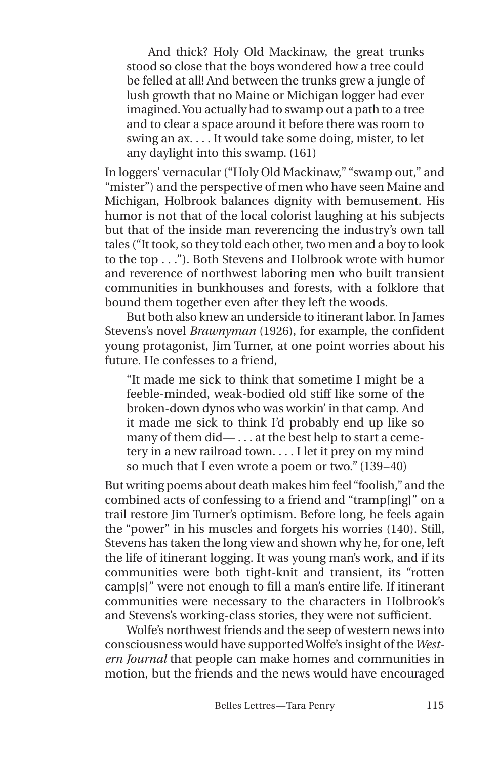And thick? Holy Old Mackinaw, the great trunks stood so close that the boys wondered how a tree could be felled at all! And between the trunks grew a jungle of lush growth that no Maine or Michigan logger had ever imagined.You actually had to swamp out a path to a tree and to clear a space around it before there was room to swing an ax. . . . It would take some doing, mister, to let any daylight into this swamp. (161)

In loggers' vernacular("Holy Old Mackinaw," "swamp out," and "mister") and the perspective of men who have seen Maine and Michigan, Holbrook balances dignity with bemusement. His humor is not that of the local colorist laughing at his subjects but that of the inside man reverencing the industry's own tall tales ("It took, so they told each other, two men and a boy to look to the top . . ."). Both Stevens and Holbrook wrote with humor and reverence of northwest laboring men who built transient communities in bunkhouses and forests, with a folklore that bound them together even after they left the woods.

But both also knew an underside to itinerant labor. In James Stevens's novel *Brawnyman* (1926), for example, the confident young protagonist, Jim Turner, at one point worries about his future. He confesses to a friend,

"It made me sick to think that sometime I might be a feeble-minded, weak-bodied old stiff like some of the broken-down dynos who was workin' in that camp. And it made me sick to think I'd probably end up like so many of them did— . . . at the best help to start a cemetery in a new railroad town. . . . I let it prey on my mind so much that I even wrote a poem or two." (139–40)

But writing poems about death makes him feel "foolish,"and the combined acts of confessing to a friend and "tramp[ing]" on a trail restore Jim Turner's optimism. Before long, he feels again the "power" in his muscles and forgets his worries (140). Still, Stevens has taken the long view and shown why he, for one, left the life of itinerant logging. It was young man's work, and if its communities were both tight-knit and transient, its "rotten camp[s]" were not enough to fill a man's entire life. If itinerant communities were necessary to the characters in Holbrook's and Stevens's working-class stories, they were not sufficient.

Wolfe's northwest friends and the seep of western news into consciousness would have supportedWolfe's insight of the*Western Journal* that people can make homes and communities in motion, but the friends and the news would have encouraged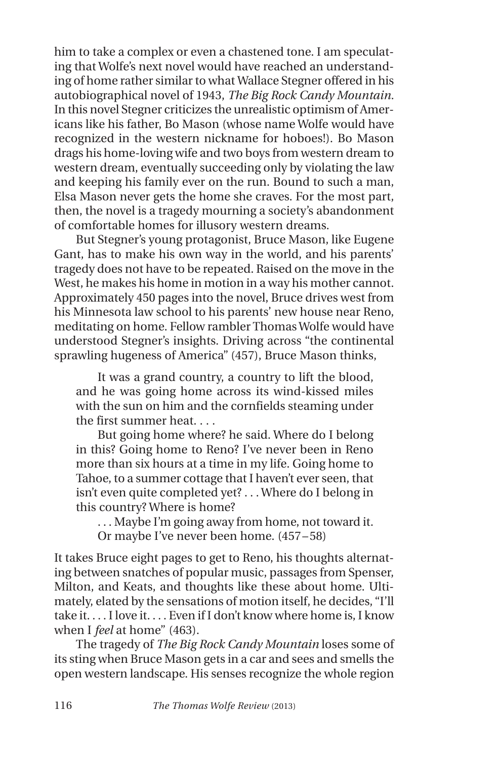him to take a complex or even a chastened tone. I am speculating that Wolfe's next novel would have reached an understanding of home rather similar to what Wallace Stegner offered in his autobiographical novel of 1943, *The Big Rock Candy Mountain.* In this novel Stegner criticizes the unrealistic optimism of Americans like his father, Bo Mason (whose name Wolfe would have recognized in the western nickname for hoboes!). Bo Mason drags his home-loving wife and two boys from western dream to western dream, eventually succeeding only by violating the law and keeping his family ever on the run. Bound to such a man, Elsa Mason never gets the home she craves. For the most part, then, the novel is a tragedy mourning a society's abandonment of comfortable homes for illusory western dreams.

But Stegner's young protagonist, Bruce Mason, like Eugene Gant, has to make his own way in the world, and his parents' tragedy does not have to be repeated. Raised on the move in the West, he makes his home in motion in a way his mother cannot. Approximately 450 pages into the novel, Bruce drives west from his Minnesota law school to his parents' new house near Reno, meditating on home. Fellow rambler Thomas Wolfe would have understood Stegner's insights. Driving across "the continental sprawling hugeness of America" (457), Bruce Mason thinks,

It was a grand country, a country to lift the blood, and he was going home across its wind-kissed miles with the sun on him and the cornfields steaming under the first summer heat. . . .

But going home where? he said. Where do I belong in this? Going home to Reno? I've never been in Reno more than six hours at a time in my life. Going home to Tahoe, to a summer cottage that I haven't ever seen, that isn't even quite completed yet? . . .Where do I belong in this country? Where is home?

. . . Maybe I'm going away from home, not toward it. Or maybe I've never been home. (457–58)

It takes Bruce eight pages to get to Reno, his thoughts alternating between snatches of popular music, passages from Spenser, Milton, and Keats, and thoughts like these about home. Ultimately, elated by the sensations of motion itself, he decides, "I'll take it. . . . I love it. . . . Even if I don't know where home is, I know when I *feel* at home" (463).

The tragedy of *The Big Rock Candy Mountain* loses some of its sting when Bruce Mason gets in a car and sees and smells the open western landscape. His senses recognize the whole region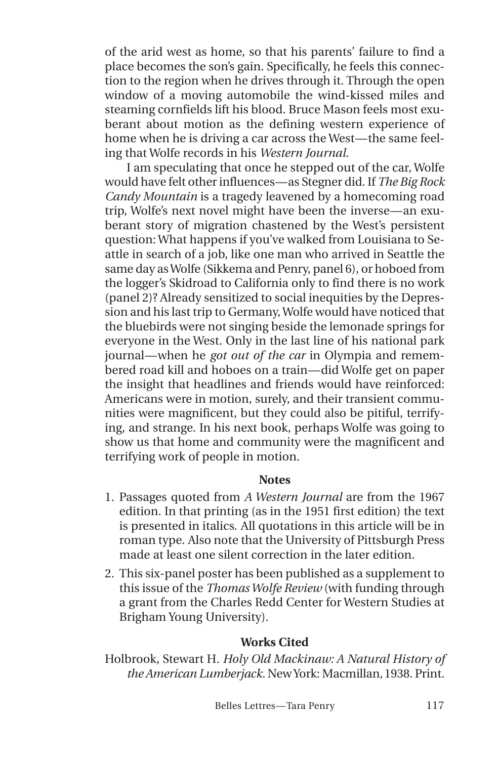of the arid west as home, so that his parents' failure to find a place becomes the son's gain. Specifically, he feels this connection to the region when he drives through it. Through the open window of a moving automobile the wind-kissed miles and steaming cornfields lift his blood. Bruce Mason feels most exuberant about motion as the defining western experience of home when he is driving a car across the West—the same feeling that Wolfe records in his *Western Journal.*

I am speculating that once he stepped out of the car, Wolfe would have felt otherinfluences—as Stegner did. If *The Big Rock Candy Mountain* is a tragedy leavened by a homecoming road trip, Wolfe's next novel might have been the inverse—an exuberant story of migration chastened by the West's persistent question: What happens if you've walked from Louisiana to Seattle in search of a job, like one man who arrived in Seattle the same day as Wolfe (Sikkema and Penry, panel 6), or hoboed from the logger's Skidroad to California only to find there is no work (panel 2)? Already sensitized to social inequities by the Depression and his last trip to Germany,Wolfe would have noticed that the bluebirds were not singing beside the lemonade springs for everyone in the West. Only in the last line of his national park journal—when he *got out of the car* in Olympia and remembered road kill and hoboes on a train—did Wolfe get on paper the insight that headlines and friends would have reinforced: Americans were in motion, surely, and their transient communities were magnificent, but they could also be pitiful, terrifying, and strange. In his next book, perhaps Wolfe was going to show us that home and community were the magnificent and terrifying work of people in motion.

#### **Notes**

- 1. Passages quoted from *A Western Journal* are from the 1967 edition. In that printing (as in the 1951 first edition) the text is presented in italics. All quotations in this article will be in roman type. Also note that the University of Pittsburgh Press made at least one silent correction in the later edition.
- 2. This six-panel poster has been published as a supplement to this issue of the *ThomasWolfe Review* (with funding through a grant from the Charles Redd Center for Western Studies at Brigham Young University).

#### **Works Cited**

Holbrook, Stewart H. *Holy Old Mackinaw: A Natural History of the American Lumberjack.* NewYork: Macmillan,1938. Print.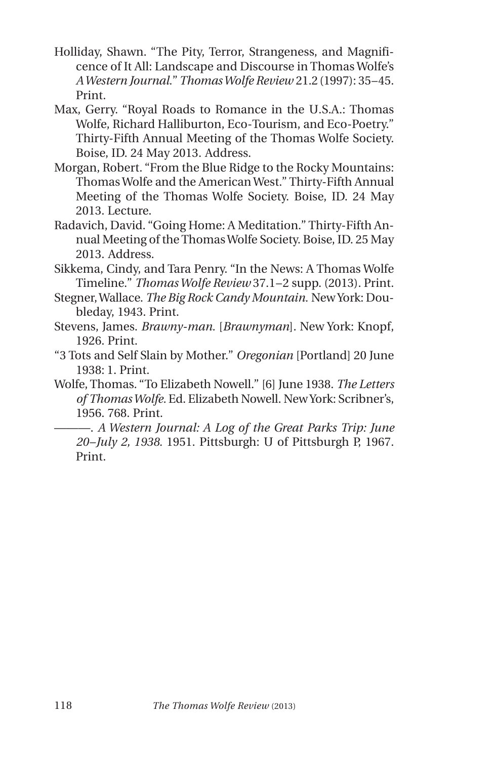- Holliday, Shawn. "The Pity, Terror, Strangeness, and Magnificence of It All: Landscape and Discourse in Thomas Wolfe's *AWestern Journal.*"*ThomasWolfe Review* 21.2(1997): 35–45. Print.
- Max, Gerry. "Royal Roads to Romance in the U.S.A.: Thomas Wolfe, Richard Halliburton, Eco-Tourism, and Eco-Poetry." Thirty-Fifth Annual Meeting of the Thomas Wolfe Society. Boise, ID. 24 May 2013. Address.
- Morgan, Robert. "From the Blue Ridge to the Rocky Mountains: Thomas Wolfe and the American West." Thirty-Fifth Annual Meeting of the Thomas Wolfe Society. Boise, ID. 24 May 2013. Lecture.
- Radavich, David. "Going Home: A Meditation." Thirty-Fifth Annual Meeting of theThomasWolfe Society. Boise, ID. 25 May 2013. Address.
- Sikkema, Cindy, and Tara Penry. "In the News: A Thomas Wolfe Timeline." *ThomasWolfe Review* 37.1–2 supp. (2013). Print.
- Stegner,Wallace. *The Big Rock Candy Mountain.* NewYork: Doubleday, 1943. Print.
- Stevens, James. *Brawny-man.* [*Brawnyman*]. New York: Knopf, 1926. Print.
- "3 Tots and Self Slain by Mother." *Oregonian* [Portland] 20 June 1938: 1. Print.
- Wolfe, Thomas. "To Elizabeth Nowell." [6] June 1938. *The Letters of ThomasWolfe.* Ed. Elizabeth Nowell. NewYork: Scribner's, 1956. 768. Print.
	- ———. *A Western Journal: A Log of the Great Parks Trip: June 20–July 2, 1938.* 1951. Pittsburgh: U of Pittsburgh P, 1967. Print.